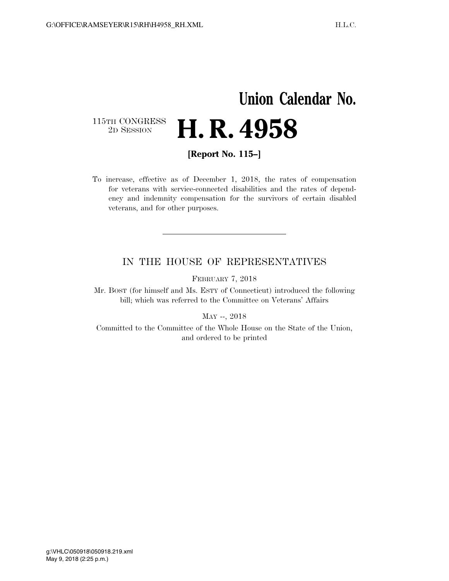## **Union Calendar No.**  115TH CONGRESS<br>2D SESSION 2D SESSION **H. R. 4958**

**[Report No. 115–]** 

To increase, effective as of December 1, 2018, the rates of compensation for veterans with service-connected disabilities and the rates of dependency and indemnity compensation for the survivors of certain disabled veterans, and for other purposes.

## IN THE HOUSE OF REPRESENTATIVES

FEBRUARY 7, 2018

Mr. BOST (for himself and Ms. ESTY of Connecticut) introduced the following bill; which was referred to the Committee on Veterans' Affairs

MAY --, 2018

Committed to the Committee of the Whole House on the State of the Union, and ordered to be printed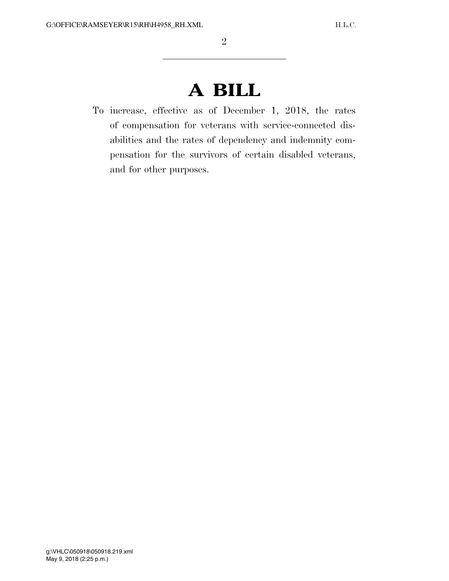## **A BILL**

To increase, effective as of December 1, 2018, the rates of compensation for veterans with service-connected disabilities and the rates of dependency and indemnity compensation for the survivors of certain disabled veterans, and for other purposes.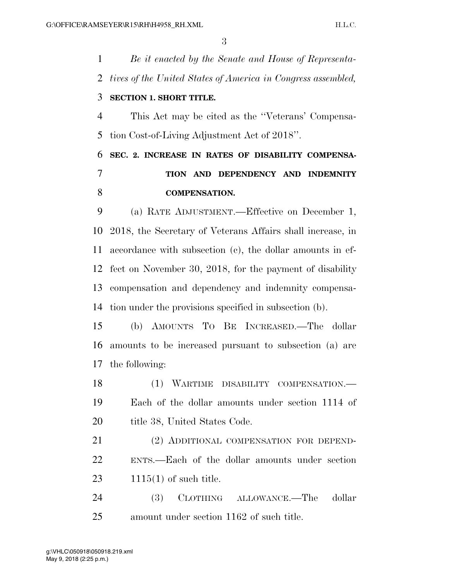*Be it enacted by the Senate and House of Representa- tives of the United States of America in Congress assembled,*  **SECTION 1. SHORT TITLE.**  This Act may be cited as the ''Veterans' Compensa- tion Cost-of-Living Adjustment Act of 2018''. **SEC. 2. INCREASE IN RATES OF DISABILITY COMPENSA- TION AND DEPENDENCY AND INDEMNITY COMPENSATION.**  (a) RATE ADJUSTMENT.—Effective on December 1, 2018, the Secretary of Veterans Affairs shall increase, in accordance with subsection (c), the dollar amounts in ef- fect on November 30, 2018, for the payment of disability compensation and dependency and indemnity compensa- tion under the provisions specified in subsection (b). (b) AMOUNTS TO BE INCREASED.—The dollar amounts to be increased pursuant to subsection (a) are the following: (1) WARTIME DISABILITY COMPENSATION.— Each of the dollar amounts under section 1114 of 20 title 38, United States Code. (2) ADDITIONAL COMPENSATION FOR DEPEND- ENTS.—Each of the dollar amounts under section 1115(1) of such title. (3) CLOTHING ALLOWANCE.—The dollar amount under section 1162 of such title.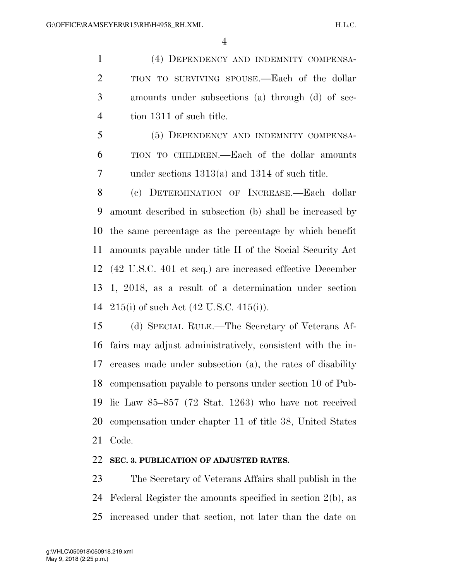(4) DEPENDENCY AND INDEMNITY COMPENSA- TION TO SURVIVING SPOUSE.—Each of the dollar amounts under subsections (a) through (d) of sec-tion 1311 of such title.

 (5) DEPENDENCY AND INDEMNITY COMPENSA- TION TO CHILDREN.—Each of the dollar amounts under sections 1313(a) and 1314 of such title.

 (c) DETERMINATION OF INCREASE.—Each dollar amount described in subsection (b) shall be increased by the same percentage as the percentage by which benefit amounts payable under title II of the Social Security Act (42 U.S.C. 401 et seq.) are increased effective December 1, 2018, as a result of a determination under section 215(i) of such Act (42 U.S.C. 415(i)).

 (d) SPECIAL RULE.—The Secretary of Veterans Af- fairs may adjust administratively, consistent with the in- creases made under subsection (a), the rates of disability compensation payable to persons under section 10 of Pub- lic Law 85–857 (72 Stat. 1263) who have not received compensation under chapter 11 of title 38, United States Code.

## **SEC. 3. PUBLICATION OF ADJUSTED RATES.**

 The Secretary of Veterans Affairs shall publish in the Federal Register the amounts specified in section 2(b), as increased under that section, not later than the date on